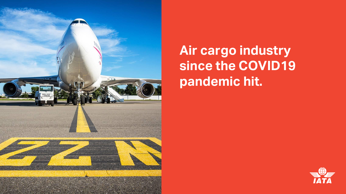

### **Air cargo industry since the COVID19 pandemic hit.**

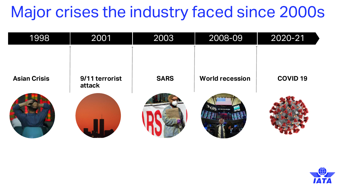## Major crises the industry faced since 2000s

| 1998                | 2001                     | 2003        | 2008-09                | 2020-21         |
|---------------------|--------------------------|-------------|------------------------|-----------------|
|                     |                          |             |                        |                 |
|                     |                          |             |                        |                 |
| <b>Asian Crisis</b> | 9/11 terrorist<br>attack | <b>SARS</b> | <b>World recession</b> | <b>COVID 19</b> |
|                     |                          |             |                        |                 |
|                     |                          |             |                        |                 |
|                     |                          |             |                        |                 |

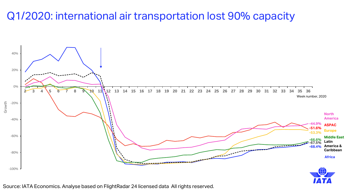### Q1/2020: international air transportation lost 90% capacity



Source: IATA Economics. Analyse based on FlightRadar 24 licensed data All rights reserved.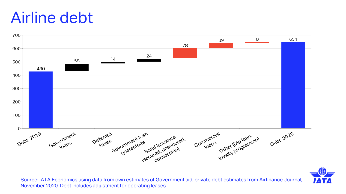## Airline debt





Source: IATA Economics using data from own estimates of Government aid, private debt estimates from Airfinance Journal, November 2020. Debt includes adjustment for operating leases.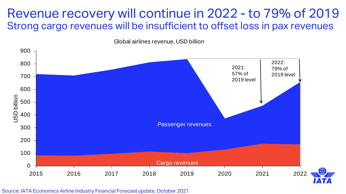### Revenue recovery will continue in 2022 - to 79% of 2019 Strong cargo revenues will be insufficient to offset loss in pax revenues

Global airlines revenue, USD billion

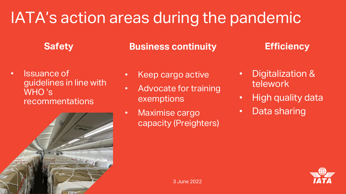## IATA's action areas during the pandemic

### **Safety**

### **Business continuity**

### **Efficiency**

• Issuance of guidelines in line with WHO 's recommentations



- Keep cargo active
- Advocate for training exemptions
- Maximise cargo capacity (Preighters)
- Digitalization & telework
- High quality data
- Data sharing



6 3 June 2022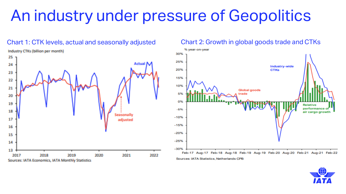## An industry under pressure of Geopolitics



#### Chart 1: CTK levels, actual and seasonally adjusted Chart 2: Growth in global goods trade and CTKs



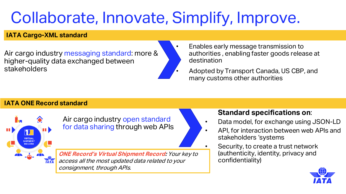## Collaborate, Innovate, Simplify, Improve.

#### **IATA Cargo-XML standard**

Air cargo industry messaging standard: more & higher-quality data exchanged between stakeholders

- Enables early message transmission to authorities , enabling faster goods release at destination
- Adopted by Transport Canada, US CBP, and many customs other authorities

#### **IATA ONE Record standard**



Air cargo industry open standard for data sharing through web APIs

**ONE Record's Virtual Shipment Record:** Your key to access all the most updated data related to your consignment, through APIs.

#### • **Standard specifications on**:

- Data model, for exchange using JSON-LD
- API, for interaction between web APIs and stakeholders 'systems
	- Security, to create a trust network (authenticity, identity, privacy and confidentiality)

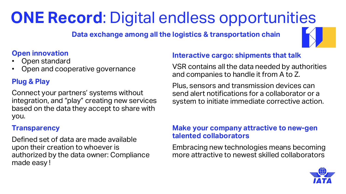## **ONE Record**: Digital endless opportunities

**Data exchange among all the logistics & transportation chain**



#### **Open innovation**

- Open standard
- Open and cooperative governance

### **Plug & Play**

Connect your partners' systems without integration, and "play" creating new services based on the data they accept to share with you.

#### **Transparency**

Defined set of data are made available upon their creation to whoever is authorized by the data owner: Compliance made easy !

#### **Interactive cargo: shipments that talk**

VSR contains all the data needed by authorities and companies to handle it from A to Z.

Plus, sensors and transmission devices can send alert notifications for a collaborator or a system to initiate immediate corrective action.

#### **Make your company attractive to new-gen talented collaborators**

Embracing new technologies means becoming more attractive to newest skilled collaborators

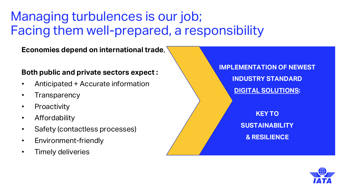### Managing turbulences is our job; Facing them well-prepared, a responsibility

**Economies depend on international trade**,

#### **Both public and private sectors expect :**

- Anticipated + Accurate information
- **Transparency**
- **Proactivity**
- **Affordability**
- Safety (contactless processes)
- Environment-friendly
- Timely deliveries